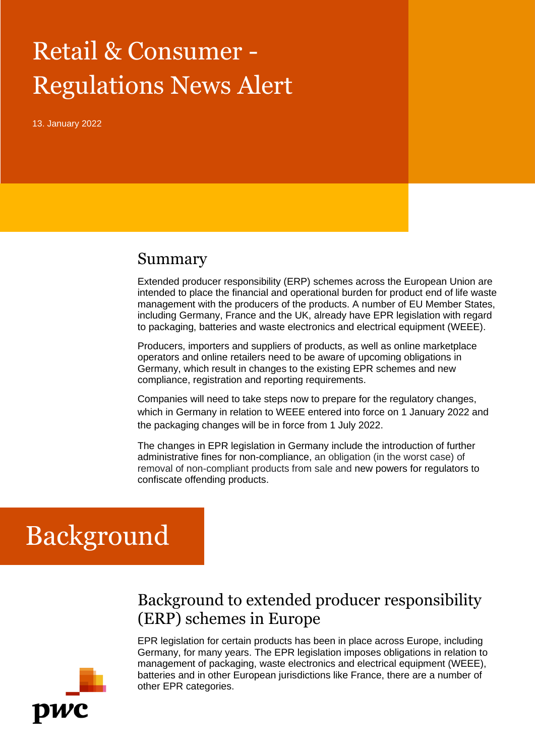# Retail & Consumer - Regulations News Alert

13. January 2022

#### Summary

Extended producer responsibility (ERP) schemes across the European Union are intended to place the financial and operational burden for product end of life waste management with the producers of the products. A number of EU Member States, including Germany, France and the UK, already have EPR legislation with regard to packaging, batteries and waste electronics and electrical equipment (WEEE).

Producers, importers and suppliers of products, as well as online marketplace operators and online retailers need to be aware of upcoming obligations in Germany, which result in changes to the existing EPR schemes and new compliance, registration and reporting requirements.

Companies will need to take steps now to prepare for the regulatory changes, which in Germany in relation to WEEE entered into force on 1 January 2022 and the packaging changes will be in force from 1 July 2022.

The changes in EPR legislation in Germany include the introduction of further administrative fines for non-compliance, an obligation (in the worst case) of removal of non-compliant products from sale and new powers for regulators to confiscate offending products.

## Background

### Background to extended producer responsibility (ERP) schemes in Europe

EPR legislation for certain products has been in place across Europe, including Germany, for many years. The EPR legislation imposes obligations in relation to management of packaging, waste electronics and electrical equipment (WEEE), batteries and in other European jurisdictions like France, there are a number of other EPR categories.

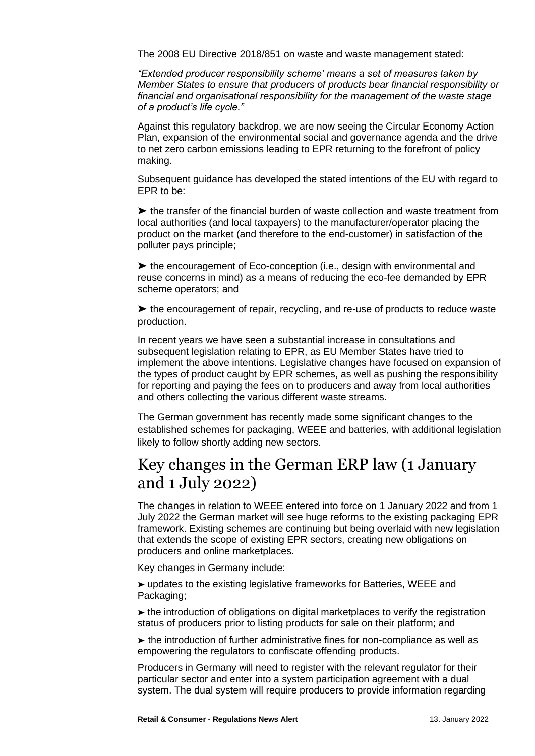The 2008 EU Directive 2018/851 on waste and waste management stated:

*"Extended producer responsibility scheme' means a set of measures taken by Member States to ensure that producers of products bear financial responsibility or financial and organisational responsibility for the management of the waste stage of a product's life cycle."*

Against this regulatory backdrop, we are now seeing the Circular Economy Action Plan, expansion of the environmental social and governance agenda and the drive to net zero carbon emissions leading to EPR returning to the forefront of policy making.

Subsequent guidance has developed the stated intentions of the EU with regard to EPR to be:

➤ the transfer of the financial burden of waste collection and waste treatment from local authorities (and local taxpayers) to the manufacturer/operator placing the product on the market (and therefore to the end-customer) in satisfaction of the polluter pays principle;

➤ the encouragement of Eco-conception (i.e., design with environmental and reuse concerns in mind) as a means of reducing the eco-fee demanded by EPR scheme operators; and

➤ the encouragement of repair, recycling, and re-use of products to reduce waste production.

In recent years we have seen a substantial increase in consultations and subsequent legislation relating to EPR, as EU Member States have tried to implement the above intentions. Legislative changes have focused on expansion of the types of product caught by EPR schemes, as well as pushing the responsibility for reporting and paying the fees on to producers and away from local authorities and others collecting the various different waste streams.

The German government has recently made some significant changes to the established schemes for packaging, WEEE and batteries, with additional legislation likely to follow shortly adding new sectors.

### Key changes in the German ERP law (1 January and 1 July 2022)

The changes in relation to WEEE entered into force on 1 January 2022 and from 1 July 2022 the German market will see huge reforms to the existing packaging EPR framework. Existing schemes are continuing but being overlaid with new legislation that extends the scope of existing EPR sectors, creating new obligations on producers and online marketplaces.

Key changes in Germany include:

➤ updates to the existing legislative frameworks for Batteries, WEEE and Packaging;

➤ the introduction of obligations on digital marketplaces to verify the registration status of producers prior to listing products for sale on their platform; and

➤ the introduction of further administrative fines for non-compliance as well as empowering the regulators to confiscate offending products.

Producers in Germany will need to register with the relevant regulator for their particular sector and enter into a system participation agreement with a dual system. The dual system will require producers to provide information regarding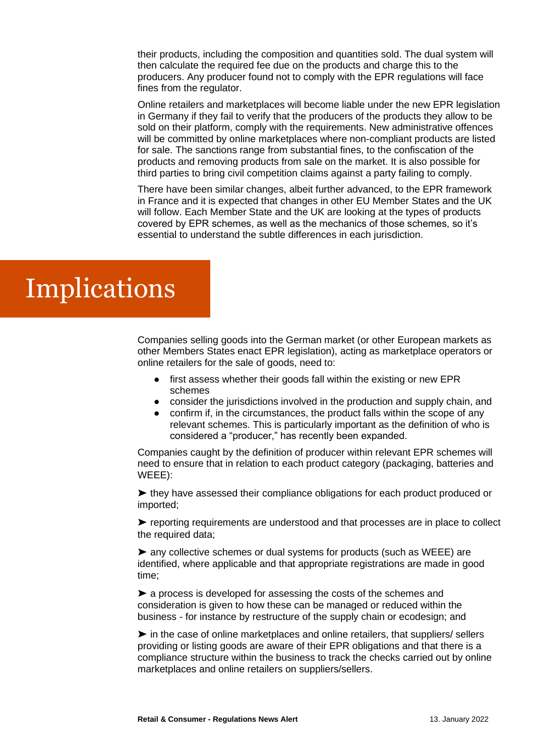their products, including the composition and quantities sold. The dual system will then calculate the required fee due on the products and charge this to the producers. Any producer found not to comply with the EPR regulations will face fines from the regulator.

Online retailers and marketplaces will become liable under the new EPR legislation in Germany if they fail to verify that the producers of the products they allow to be sold on their platform, comply with the requirements. New administrative offences will be committed by online marketplaces where non-compliant products are listed for sale. The sanctions range from substantial fines, to the confiscation of the products and removing products from sale on the market. It is also possible for third parties to bring civil competition claims against a party failing to comply.

There have been similar changes, albeit further advanced, to the EPR framework in France and it is expected that changes in other EU Member States and the UK will follow. Each Member State and the UK are looking at the types of products covered by EPR schemes, as well as the mechanics of those schemes, so it's essential to understand the subtle differences in each jurisdiction.

## **Implications**

Companies selling goods into the German market (or other European markets as other Members States enact EPR legislation), acting as marketplace operators or online retailers for the sale of goods, need to:

- first assess whether their goods fall within the existing or new EPR schemes
- consider the jurisdictions involved in the production and supply chain, and
- confirm if, in the circumstances, the product falls within the scope of any relevant schemes. This is particularly important as the definition of who is considered a "producer," has recently been expanded.

Companies caught by the definition of producer within relevant EPR schemes will need to ensure that in relation to each product category (packaging, batteries and WEEE):

➤ they have assessed their compliance obligations for each product produced or imported;

➤ reporting requirements are understood and that processes are in place to collect the required data;

➤ any collective schemes or dual systems for products (such as WEEE) are identified, where applicable and that appropriate registrations are made in good time;

➤ a process is developed for assessing the costs of the schemes and consideration is given to how these can be managed or reduced within the business - for instance by restructure of the supply chain or ecodesign; and

➤ in the case of online marketplaces and online retailers, that suppliers/ sellers providing or listing goods are aware of their EPR obligations and that there is a compliance structure within the business to track the checks carried out by online marketplaces and online retailers on suppliers/sellers.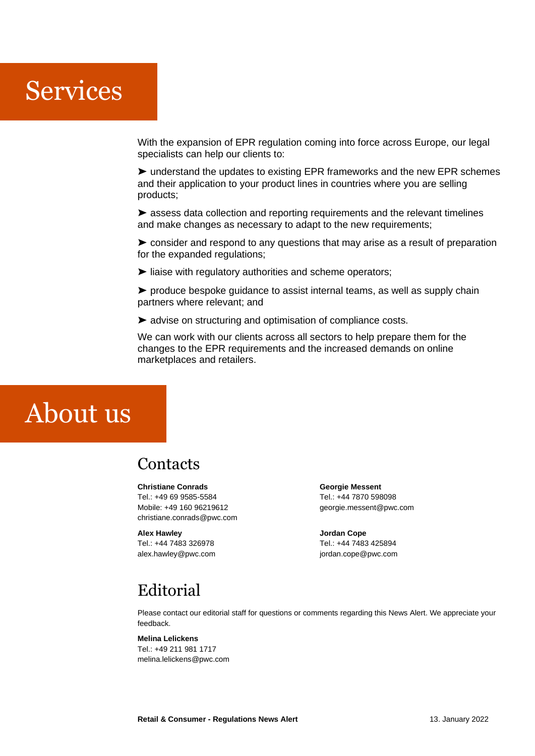## Services

With the expansion of EPR regulation coming into force across Europe, our legal specialists can help our clients to:

➤ understand the updates to existing EPR frameworks and the new EPR schemes and their application to your product lines in countries where you are selling products;

➤ assess data collection and reporting requirements and the relevant timelines and make changes as necessary to adapt to the new requirements;

➤ consider and respond to any questions that may arise as a result of preparation for the expanded regulations;

➤ liaise with regulatory authorities and scheme operators;

➤ produce bespoke guidance to assist internal teams, as well as supply chain partners where relevant; and

➤ advise on structuring and optimisation of compliance costs.

We can work with our clients across all sectors to help prepare them for the changes to the EPR requirements and the increased demands on online marketplaces and retailers.

## About us

### **Contacts**

#### **Christiane Conrads**

Tel.: +49 69 9585-5584 Mobile: +49 160 96219612 christiane.conrads@pwc.com

**Alex Hawley** Tel.: +44 7483 326978 alex.hawley@pwc.com **Georgie Messent** Tel.: +44 7870 598098 georgie.messent@pwc.com

**Jordan Cope** Tel.: +44 7483 425894 jordan.cope@pwc.com

## Editorial

Please contact our editorial staff for questions or comments regarding this News Alert. We appreciate your feedback.

#### **Melina Lelickens**

Tel.: +49 211 981 1717 melina.lelickens@pwc.com